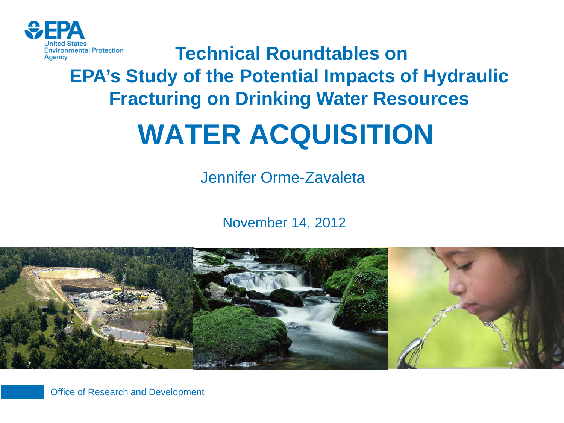

**Technical Roundtables on EPA's Study of the Potential Impacts of Hydraulic Fracturing on Drinking Water Resources**

# **WATER ACQUISITION**

Jennifer Orme-Zavaleta

November 14, 2012



Office of Research and Development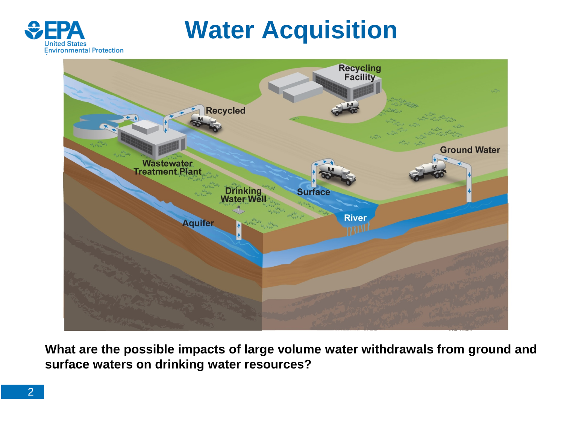

### **Water Acquisition**



**What are the possible impacts of large volume water withdrawals from ground and surface waters on drinking water resources?**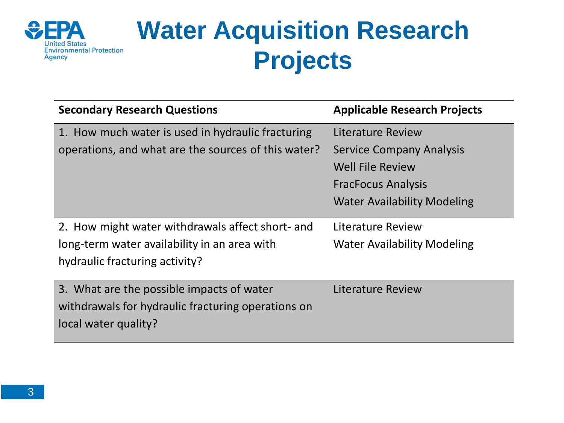

### **Water Acquisition Research Projects**

| <b>Secondary Research Questions</b>                                                                                     | <b>Applicable Research Projects</b> |  |
|-------------------------------------------------------------------------------------------------------------------------|-------------------------------------|--|
| 1. How much water is used in hydraulic fracturing                                                                       | Literature Review                   |  |
| operations, and what are the sources of this water?                                                                     | <b>Service Company Analysis</b>     |  |
|                                                                                                                         | <b>Well File Review</b>             |  |
|                                                                                                                         | <b>FracFocus Analysis</b>           |  |
|                                                                                                                         | <b>Water Availability Modeling</b>  |  |
| 2. How might water withdrawals affect short- and                                                                        | Literature Review                   |  |
| long-term water availability in an area with<br>hydraulic fracturing activity?                                          | <b>Water Availability Modeling</b>  |  |
| 3. What are the possible impacts of water<br>withdrawals for hydraulic fracturing operations on<br>local water quality? | Literature Review                   |  |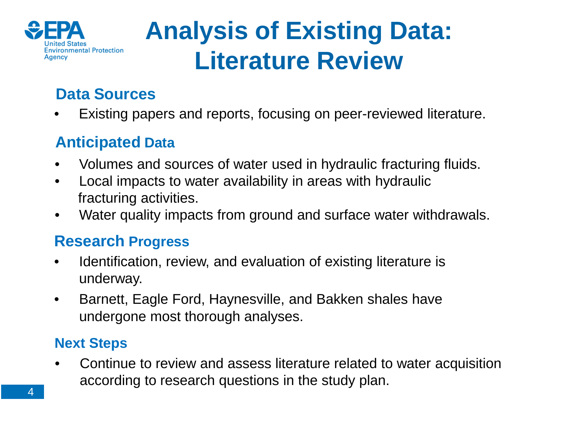

### **Analysis of Existing Data: Literature Review**

### **Data Sources**

• Existing papers and reports, focusing on peer-reviewed literature.

### **Anticipated Data**

- Volumes and sources of water used in hydraulic fracturing fluids.
- Local impacts to water availability in areas with hydraulic fracturing activities.
- Water quality impacts from ground and surface water withdrawals.

#### **Research Progress**

- Identification, review, and evaluation of existing literature is underway.
- Barnett, Eagle Ford, Haynesville, and Bakken shales have undergone most thorough analyses.

#### **Next Steps**

• Continue to review and assess literature related to water acquisition according to research questions in the study plan.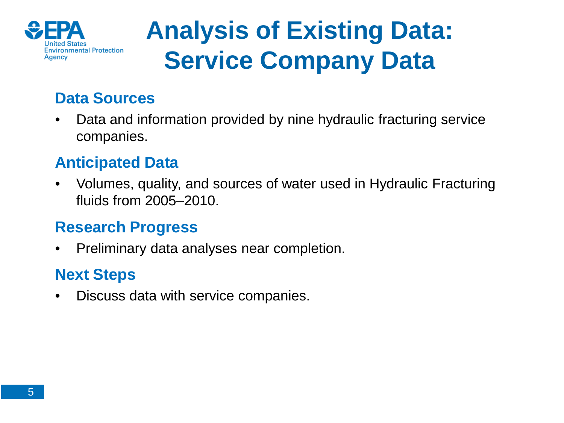

## **Analysis of Existing Data: Service Company Data**

### **Data Sources**

• Data and information provided by nine hydraulic fracturing service companies.

#### **Anticipated Data**

• Volumes, quality, and sources of water used in Hydraulic Fracturing fluids from 2005–2010.

#### **Research Progress**

• Preliminary data analyses near completion.

#### **Next Steps**

• Discuss data with service companies.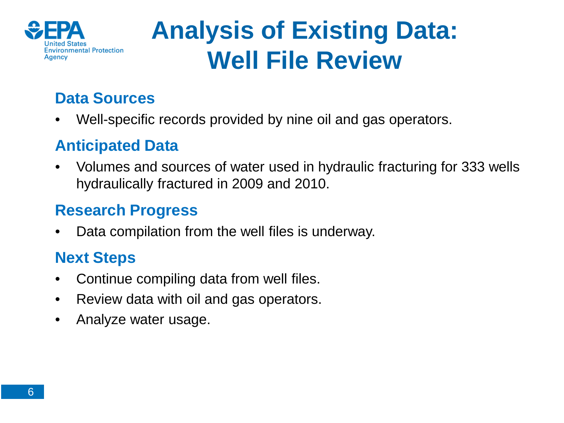

### **Analysis of Existing Data: Well File Review**

### **Data Sources**

• Well-specific records provided by nine oil and gas operators.

### **Anticipated Data**

• Volumes and sources of water used in hydraulic fracturing for 333 wells hydraulically fractured in 2009 and 2010.

### **Research Progress**

Data compilation from the well files is underway.

### **Next Steps**

- Continue compiling data from well files.
- Review data with oil and gas operators.
- Analyze water usage.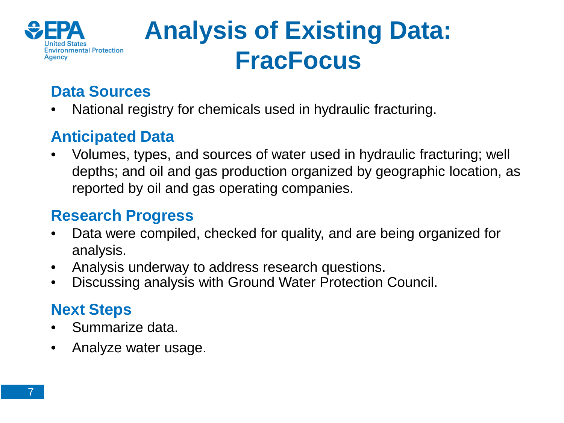

### **Analysis of Existing Data: FracFocus**

### **Data Sources**

• National registry for chemicals used in hydraulic fracturing.

### **Anticipated Data**

• Volumes, types, and sources of water used in hydraulic fracturing; well depths; and oil and gas production organized by geographic location, as reported by oil and gas operating companies.

#### **Research Progress**

- Data were compiled, checked for quality, and are being organized for analysis.
- Analysis underway to address research questions.
- Discussing analysis with Ground Water Protection Council.

### **Next Steps**

- Summarize data.
- Analyze water usage.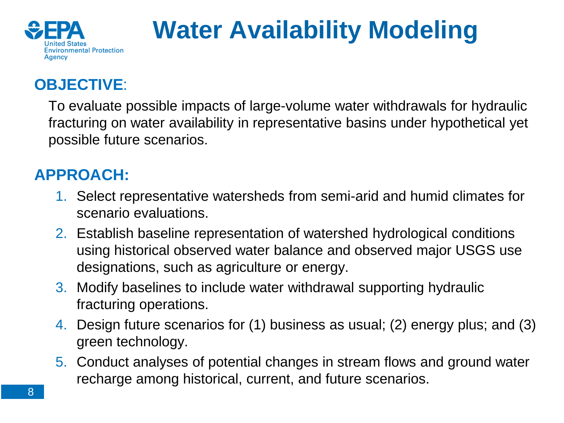

# **Water Availability Modeling**

### **OBJECTIVE**:

To evaluate possible impacts of large-volume water withdrawals for hydraulic fracturing on water availability in representative basins under hypothetical yet possible future scenarios.

### **APPROACH:**

- 1. Select representative watersheds from semi-arid and humid climates for scenario evaluations.
- 2. Establish baseline representation of watershed hydrological conditions using historical observed water balance and observed major USGS use designations, such as agriculture or energy.
- 3. Modify baselines to include water withdrawal supporting hydraulic fracturing operations.
- 4. Design future scenarios for (1) business as usual; (2) energy plus; and (3) green technology.
- 5. Conduct analyses of potential changes in stream flows and ground water recharge among historical, current, and future scenarios.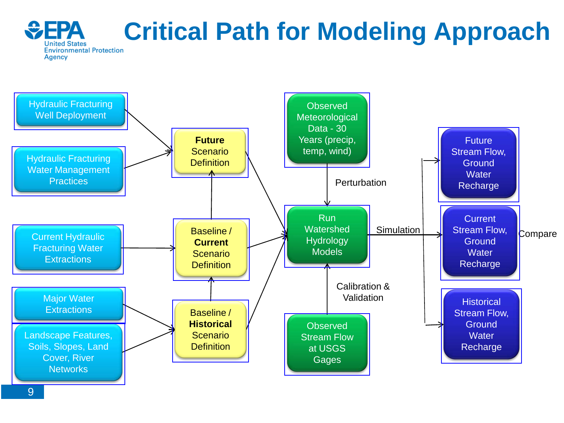#### $\bigcirc$  FPA **EPA Critical Path for Modeling Approach United States Agency**

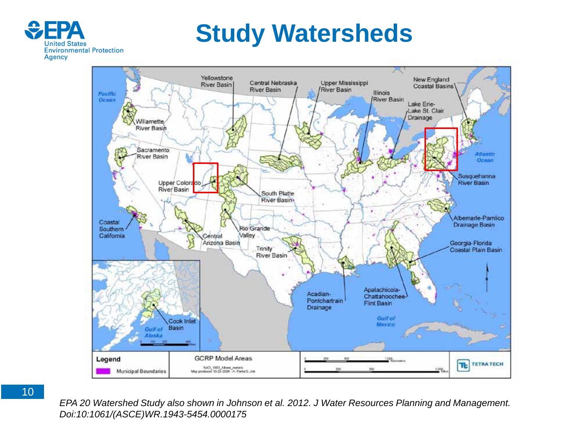

### **Study Watersheds**



10

*EPA 20 Watershed Study also shown in Johnson et al. 2012. J Water Resources Planning and Management. Doi:10:1061/(ASCE)WR.1943-5454.0000175*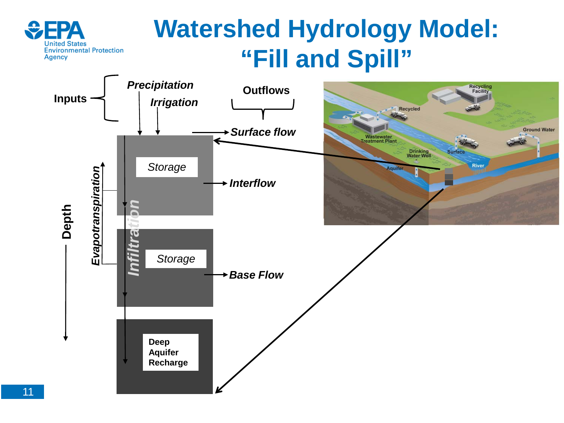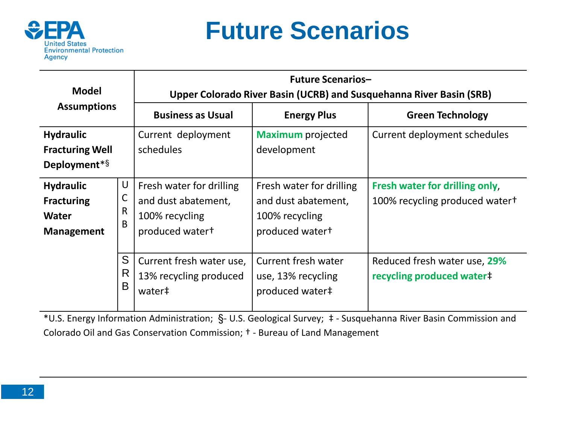

### **Future Scenarios**

| <b>Model</b><br><b>Assumptions</b>                                         |             | <b>Future Scenarios-</b><br>Upper Colorado River Basin (UCRB) and Susquehanna River Basin (SRB)  |                                                                                                  |                                                                  |  |
|----------------------------------------------------------------------------|-------------|--------------------------------------------------------------------------------------------------|--------------------------------------------------------------------------------------------------|------------------------------------------------------------------|--|
|                                                                            |             | <b>Business as Usual</b>                                                                         | <b>Energy Plus</b>                                                                               | <b>Green Technology</b>                                          |  |
| <b>Hydraulic</b><br><b>Fracturing Well</b><br>Deployment*§                 |             | Current deployment<br>schedules                                                                  | <b>Maximum</b> projected<br>development                                                          | Current deployment schedules                                     |  |
| <b>Hydraulic</b><br><b>Fracturing</b><br><b>Water</b><br><b>Management</b> | U<br>R<br>B | Fresh water for drilling<br>and dust abatement,<br>100% recycling<br>produced water <sup>+</sup> | Fresh water for drilling<br>and dust abatement,<br>100% recycling<br>produced water <sup>+</sup> | Fresh water for drilling only,<br>100% recycling produced water+ |  |
|                                                                            | S<br>R<br>B | Current fresh water use,<br>13% recycling produced<br>water‡                                     | Current fresh water<br>use, 13% recycling<br>produced water#                                     | Reduced fresh water use, 29%<br>recycling produced water#        |  |

\*U.S. Energy Information Administration; §- U.S. Geological Survey; ‡ - Susquehanna River Basin Commission and Colorado Oil and Gas Conservation Commission; † - Bureau of Land Management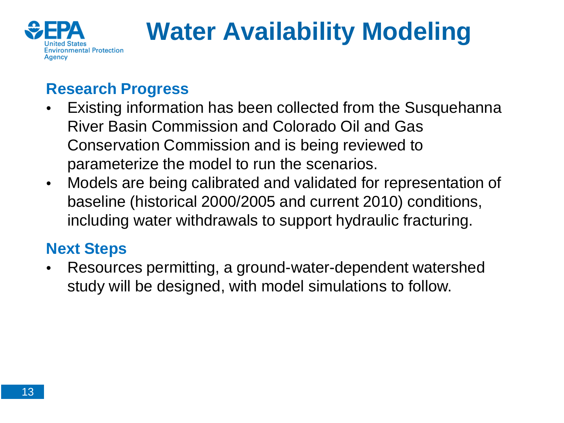

# **Water Availability Modeling**

### **Research Progress**

- Existing information has been collected from the Susquehanna River Basin Commission and Colorado Oil and Gas Conservation Commission and is being reviewed to parameterize the model to run the scenarios.
- Models are being calibrated and validated for representation of baseline (historical 2000/2005 and current 2010) conditions, including water withdrawals to support hydraulic fracturing.

### **Next Steps**

• Resources permitting, a ground-water-dependent watershed study will be designed, with model simulations to follow.